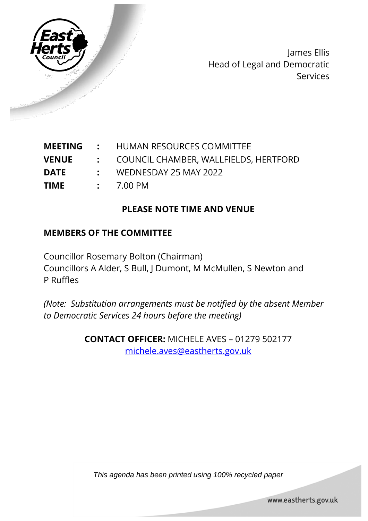

James Ellis Head of Legal and Democratic Services

| <b>MEETING</b> |  | HUMAN RESOURCES COMMITTEE |
|----------------|--|---------------------------|
|----------------|--|---------------------------|

- **VENUE :** COUNCIL CHAMBER, WALLFIELDS, HERTFORD
- **DATE :** WEDNESDAY 25 MAY 2022
- **TIME :** 7.00 PM

### **PLEASE NOTE TIME AND VENUE**

#### **MEMBERS OF THE COMMITTEE**

Councillor Rosemary Bolton (Chairman) Councillors A Alder, S Bull, J Dumont, M McMullen, S Newton and P Ruffles

*(Note: Substitution arrangements must be notified by the absent Member to Democratic Services 24 hours before the meeting)*

> **CONTACT OFFICER:** MICHELE AVES – 01279 502177 [michele.aves@eastherts.gov.uk](mailto:michele.aves@eastherts.gov.uk)

*This agenda has been printed using 100% recycled paper*

www.eastherts.gov.uk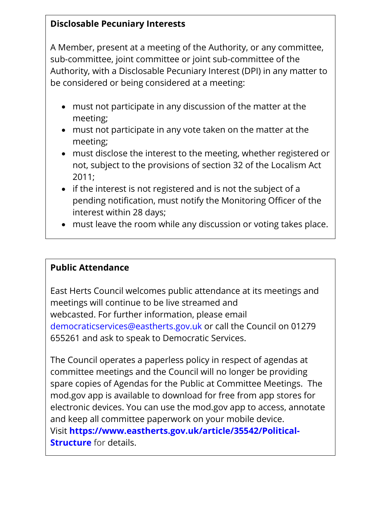## **Disclosable Pecuniary Interests**

A Member, present at a meeting of the Authority, or any committee, sub-committee, joint committee or joint sub-committee of the Authority, with a Disclosable Pecuniary Interest (DPI) in any matter to be considered or being considered at a meeting:

- must not participate in any discussion of the matter at the meeting;
- must not participate in any vote taken on the matter at the meeting;
- must disclose the interest to the meeting, whether registered or not, subject to the provisions of section 32 of the Localism Act 2011;
- if the interest is not registered and is not the subject of a pending notification, must notify the Monitoring Officer of the interest within 28 days;
- must leave the room while any discussion or voting takes place.

### **Public Attendance**

East Herts Council welcomes public attendance at its meetings and meetings will continue to be live streamed and webcasted. For further information, please email democraticservices@eastherts.gov.uk or call the Council on 01279 655261 and ask to speak to Democratic Services.

The Council operates a paperless policy in respect of agendas at committee meetings and the Council will no longer be providing spare copies of Agendas for the Public at Committee Meetings. The mod.gov app is available to download for free from app stores for electronic devices. You can use the mod.gov app to access, annotate and keep all committee paperwork on your mobile device. Visit **https://www.eastherts.gov.uk/article/35542/Political-Structure** for details.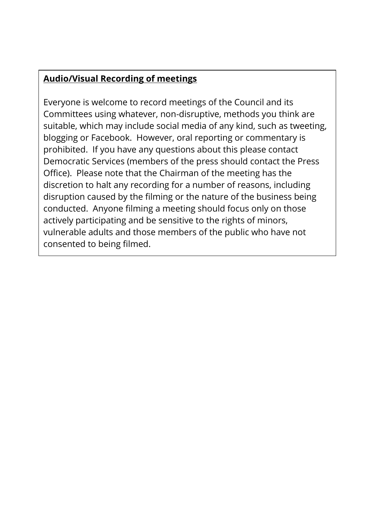# **Audio/Visual Recording of meetings**

Everyone is welcome to record meetings of the Council and its Committees using whatever, non-disruptive, methods you think are suitable, which may include social media of any kind, such as tweeting, blogging or Facebook. However, oral reporting or commentary is prohibited. If you have any questions about this please contact Democratic Services (members of the press should contact the Press Office). Please note that the Chairman of the meeting has the discretion to halt any recording for a number of reasons, including disruption caused by the filming or the nature of the business being conducted. Anyone filming a meeting should focus only on those actively participating and be sensitive to the rights of minors, vulnerable adults and those members of the public who have not consented to being filmed.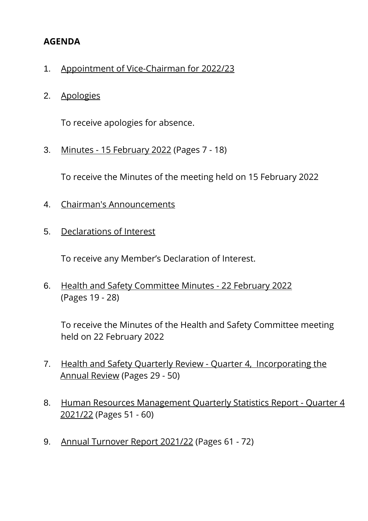#### **AGENDA**

- 1. Appointment of Vice-Chairman for 2022/23
- 2. Apologies

To receive apologies for absence.

3. Minutes - 15 February 2022 (Pages 7 - 18)

To receive the Minutes of the meeting held on 15 February 2022

- 4. Chairman's Announcements
- 5. Declarations of Interest

To receive any Member's Declaration of Interest.

6. Health and Safety Committee Minutes - 22 February 2022 (Pages 19 - 28)

To receive the Minutes of the Health and Safety Committee meeting held on 22 February 2022

- 7. Health and Safety Quarterly Review Quarter 4, Incorporating the Annual Review (Pages 29 - 50)
- 8. Human Resources Management Quarterly Statistics Report Quarter 4 2021/22 (Pages 51 - 60)
- 9. Annual Turnover Report 2021/22 (Pages 61 72)